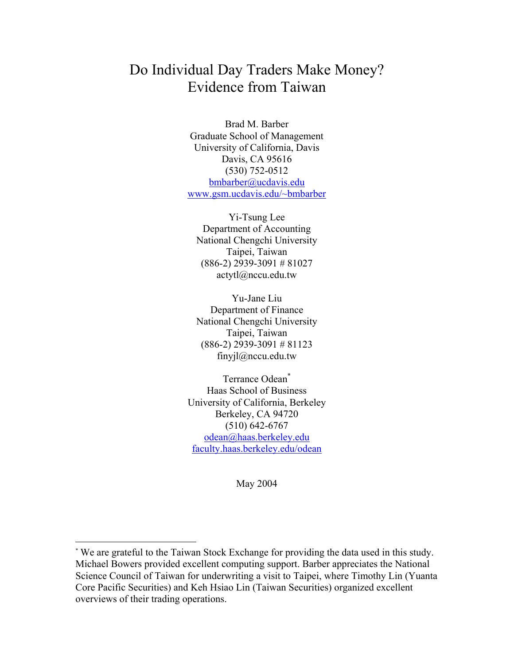# Do Individual Day Traders Make Money? Evidence from Taiwan

Brad M. Barber Graduate School of Management University of California, Davis Davis, CA 95616 (530) 752-0512 bmbarber@ucdavis.edu www.gsm.ucdavis.edu/~bmbarber

Yi-Tsung Lee Department of Accounting National Chengchi University Taipei, Taiwan (886-2) 2939-3091 # 81027 actytl@nccu.edu.tw

Yu-Jane Liu Department of Finance National Chengchi University Taipei, Taiwan (886-2) 2939-3091 # 81123 finyjl@nccu.edu.tw

Terrance Odean\* Haas School of Business University of California, Berkeley Berkeley, CA 94720 (510) 642-6767 odean@haas.berkeley.edu faculty.haas.berkeley.edu/odean

May 2004

 $\overline{a}$ 

<sup>\*</sup> We are grateful to the Taiwan Stock Exchange for providing the data used in this study. Michael Bowers provided excellent computing support. Barber appreciates the National Science Council of Taiwan for underwriting a visit to Taipei, where Timothy Lin (Yuanta Core Pacific Securities) and Keh Hsiao Lin (Taiwan Securities) organized excellent overviews of their trading operations.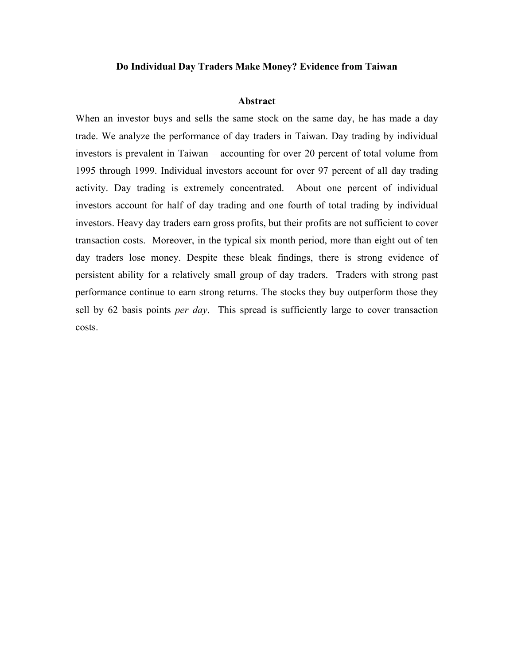#### **Do Individual Day Traders Make Money? Evidence from Taiwan**

#### **Abstract**

When an investor buys and sells the same stock on the same day, he has made a day trade. We analyze the performance of day traders in Taiwan. Day trading by individual investors is prevalent in Taiwan – accounting for over 20 percent of total volume from 1995 through 1999. Individual investors account for over 97 percent of all day trading activity. Day trading is extremely concentrated. About one percent of individual investors account for half of day trading and one fourth of total trading by individual investors. Heavy day traders earn gross profits, but their profits are not sufficient to cover transaction costs. Moreover, in the typical six month period, more than eight out of ten day traders lose money. Despite these bleak findings, there is strong evidence of persistent ability for a relatively small group of day traders. Traders with strong past performance continue to earn strong returns. The stocks they buy outperform those they sell by 62 basis points *per day*. This spread is sufficiently large to cover transaction costs.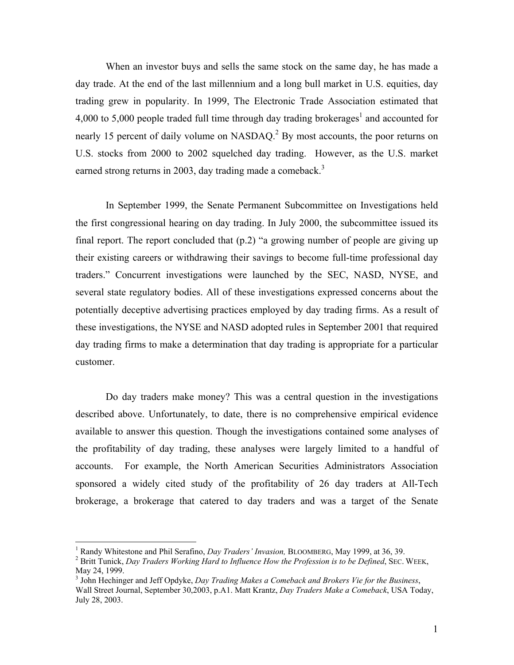When an investor buys and sells the same stock on the same day, he has made a day trade. At the end of the last millennium and a long bull market in U.S. equities, day trading grew in popularity. In 1999, The Electronic Trade Association estimated that 4,000 to 5,000 people traded full time through day trading brokerages<sup>1</sup> and accounted for nearly 15 percent of daily volume on NASDAQ.<sup>2</sup> By most accounts, the poor returns on U.S. stocks from 2000 to 2002 squelched day trading. However, as the U.S. market earned strong returns in 2003, day trading made a comeback.<sup>3</sup>

 In September 1999, the Senate Permanent Subcommittee on Investigations held the first congressional hearing on day trading. In July 2000, the subcommittee issued its final report. The report concluded that (p.2) "a growing number of people are giving up their existing careers or withdrawing their savings to become full-time professional day traders." Concurrent investigations were launched by the SEC, NASD, NYSE, and several state regulatory bodies. All of these investigations expressed concerns about the potentially deceptive advertising practices employed by day trading firms. As a result of these investigations, the NYSE and NASD adopted rules in September 2001 that required day trading firms to make a determination that day trading is appropriate for a particular customer.

Do day traders make money? This was a central question in the investigations described above. Unfortunately, to date, there is no comprehensive empirical evidence available to answer this question. Though the investigations contained some analyses of the profitability of day trading, these analyses were largely limited to a handful of accounts. For example, the North American Securities Administrators Association sponsored a widely cited study of the profitability of 26 day traders at All-Tech brokerage, a brokerage that catered to day traders and was a target of the Senate

1

<sup>&</sup>lt;sup>1</sup> Randy Whitestone and Phil Serafino, *Day Traders' Invasion*, BLOOMBERG, May 1999, at 36, 39.<br><sup>2</sup> Pritt Tunisk, Day Traders Working Hard to Influence Hou the Profession is to be Defined SEG.

Britt Tunick, *Day Traders Working Hard to Influence How the Profession is to be Defined*, SEC. WEEK, May 24, 1999.

<sup>3</sup> John Hechinger and Jeff Opdyke, *Day Trading Makes a Comeback and Brokers Vie for the Business*, Wall Street Journal, September 30,2003, p.A1. Matt Krantz, *Day Traders Make a Comeback*, USA Today, July 28, 2003.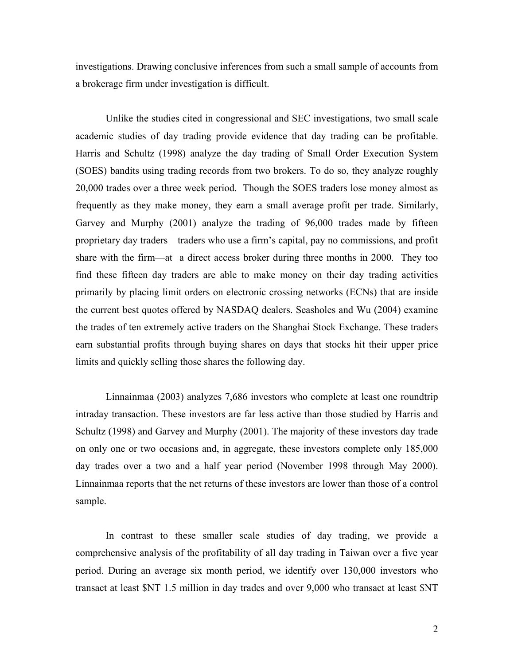investigations. Drawing conclusive inferences from such a small sample of accounts from a brokerage firm under investigation is difficult.

Unlike the studies cited in congressional and SEC investigations, two small scale academic studies of day trading provide evidence that day trading can be profitable. Harris and Schultz (1998) analyze the day trading of Small Order Execution System (SOES) bandits using trading records from two brokers. To do so, they analyze roughly 20,000 trades over a three week period. Though the SOES traders lose money almost as frequently as they make money, they earn a small average profit per trade. Similarly, Garvey and Murphy (2001) analyze the trading of 96,000 trades made by fifteen proprietary day traders—traders who use a firm's capital, pay no commissions, and profit share with the firm—at a direct access broker during three months in 2000. They too find these fifteen day traders are able to make money on their day trading activities primarily by placing limit orders on electronic crossing networks (ECNs) that are inside the current best quotes offered by NASDAQ dealers. Seasholes and Wu (2004) examine the trades of ten extremely active traders on the Shanghai Stock Exchange. These traders earn substantial profits through buying shares on days that stocks hit their upper price limits and quickly selling those shares the following day.

Linnainmaa (2003) analyzes 7,686 investors who complete at least one roundtrip intraday transaction. These investors are far less active than those studied by Harris and Schultz (1998) and Garvey and Murphy (2001). The majority of these investors day trade on only one or two occasions and, in aggregate, these investors complete only 185,000 day trades over a two and a half year period (November 1998 through May 2000). Linnainmaa reports that the net returns of these investors are lower than those of a control sample.

 In contrast to these smaller scale studies of day trading, we provide a comprehensive analysis of the profitability of all day trading in Taiwan over a five year period. During an average six month period, we identify over 130,000 investors who transact at least \$NT 1.5 million in day trades and over 9,000 who transact at least \$NT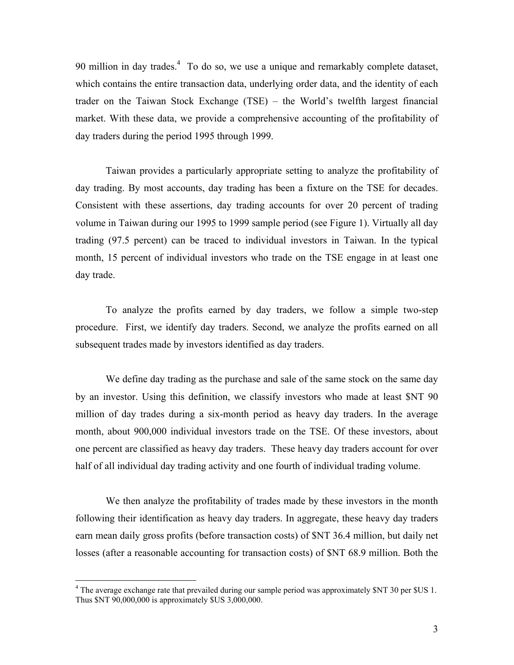90 million in day trades.<sup>4</sup> To do so, we use a unique and remarkably complete dataset, which contains the entire transaction data, underlying order data, and the identity of each trader on the Taiwan Stock Exchange (TSE) – the World's twelfth largest financial market. With these data, we provide a comprehensive accounting of the profitability of day traders during the period 1995 through 1999.

Taiwan provides a particularly appropriate setting to analyze the profitability of day trading. By most accounts, day trading has been a fixture on the TSE for decades. Consistent with these assertions, day trading accounts for over 20 percent of trading volume in Taiwan during our 1995 to 1999 sample period (see Figure 1). Virtually all day trading (97.5 percent) can be traced to individual investors in Taiwan. In the typical month, 15 percent of individual investors who trade on the TSE engage in at least one day trade.

To analyze the profits earned by day traders, we follow a simple two-step procedure. First, we identify day traders. Second, we analyze the profits earned on all subsequent trades made by investors identified as day traders.

We define day trading as the purchase and sale of the same stock on the same day by an investor. Using this definition, we classify investors who made at least \$NT 90 million of day trades during a six-month period as heavy day traders. In the average month, about 900,000 individual investors trade on the TSE. Of these investors, about one percent are classified as heavy day traders. These heavy day traders account for over half of all individual day trading activity and one fourth of individual trading volume.

We then analyze the profitability of trades made by these investors in the month following their identification as heavy day traders. In aggregate, these heavy day traders earn mean daily gross profits (before transaction costs) of \$NT 36.4 million, but daily net losses (after a reasonable accounting for transaction costs) of \$NT 68.9 million. Both the

 $\overline{a}$ 

<sup>&</sup>lt;sup>4</sup> The average exchange rate that prevailed during our sample period was approximately \$NT 30 per \$US 1. Thus \$NT 90,000,000 is approximately \$US 3,000,000.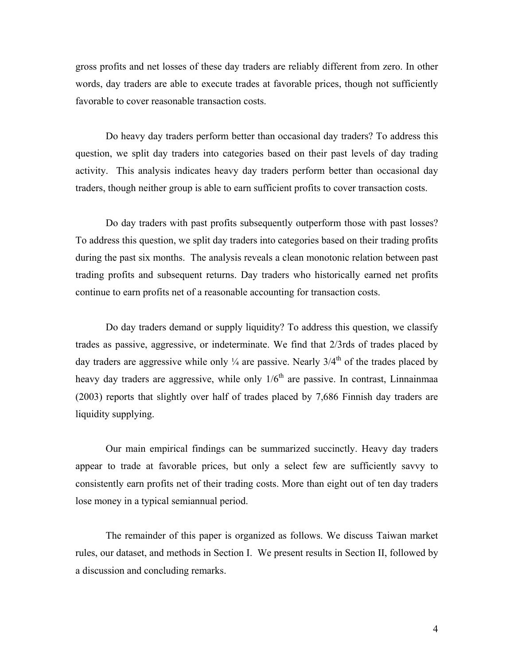gross profits and net losses of these day traders are reliably different from zero. In other words, day traders are able to execute trades at favorable prices, though not sufficiently favorable to cover reasonable transaction costs.

Do heavy day traders perform better than occasional day traders? To address this question, we split day traders into categories based on their past levels of day trading activity. This analysis indicates heavy day traders perform better than occasional day traders, though neither group is able to earn sufficient profits to cover transaction costs.

Do day traders with past profits subsequently outperform those with past losses? To address this question, we split day traders into categories based on their trading profits during the past six months. The analysis reveals a clean monotonic relation between past trading profits and subsequent returns. Day traders who historically earned net profits continue to earn profits net of a reasonable accounting for transaction costs.

Do day traders demand or supply liquidity? To address this question, we classify trades as passive, aggressive, or indeterminate. We find that 2/3rds of trades placed by day traders are aggressive while only  $\frac{1}{4}$  are passive. Nearly  $3/4^{th}$  of the trades placed by heavy day traders are aggressive, while only  $1/6<sup>th</sup>$  are passive. In contrast, Linnainmaa (2003) reports that slightly over half of trades placed by 7,686 Finnish day traders are liquidity supplying.

Our main empirical findings can be summarized succinctly. Heavy day traders appear to trade at favorable prices, but only a select few are sufficiently savvy to consistently earn profits net of their trading costs. More than eight out of ten day traders lose money in a typical semiannual period.

The remainder of this paper is organized as follows. We discuss Taiwan market rules, our dataset, and methods in Section I. We present results in Section II, followed by a discussion and concluding remarks.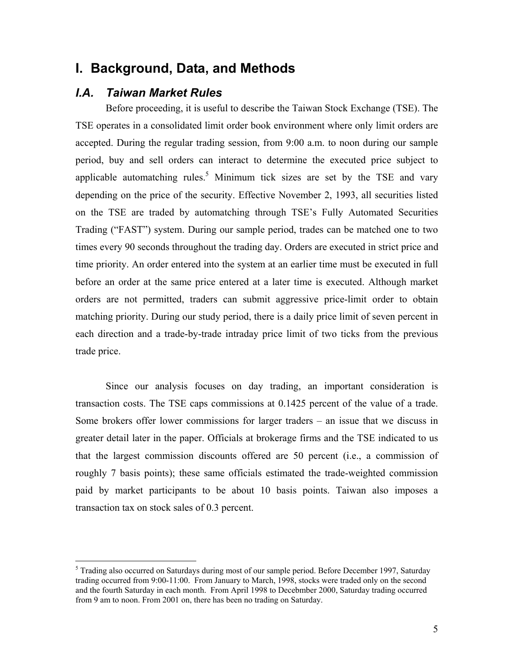## **I. Background, Data, and Methods**

### *I.A. Taiwan Market Rules*

 $\overline{a}$ 

Before proceeding, it is useful to describe the Taiwan Stock Exchange (TSE). The TSE operates in a consolidated limit order book environment where only limit orders are accepted. During the regular trading session, from 9:00 a.m. to noon during our sample period, buy and sell orders can interact to determine the executed price subject to applicable automatching rules.<sup>5</sup> Minimum tick sizes are set by the TSE and vary depending on the price of the security. Effective November 2, 1993, all securities listed on the TSE are traded by automatching through TSE's Fully Automated Securities Trading ("FAST") system. During our sample period, trades can be matched one to two times every 90 seconds throughout the trading day. Orders are executed in strict price and time priority. An order entered into the system at an earlier time must be executed in full before an order at the same price entered at a later time is executed. Although market orders are not permitted, traders can submit aggressive price-limit order to obtain matching priority. During our study period, there is a daily price limit of seven percent in each direction and a trade-by-trade intraday price limit of two ticks from the previous trade price.

Since our analysis focuses on day trading, an important consideration is transaction costs. The TSE caps commissions at 0.1425 percent of the value of a trade. Some brokers offer lower commissions for larger traders – an issue that we discuss in greater detail later in the paper. Officials at brokerage firms and the TSE indicated to us that the largest commission discounts offered are 50 percent (i.e., a commission of roughly 7 basis points); these same officials estimated the trade-weighted commission paid by market participants to be about 10 basis points. Taiwan also imposes a transaction tax on stock sales of 0.3 percent.

<sup>&</sup>lt;sup>5</sup> Trading also occurred on Saturdays during most of our sample period. Before December 1997, Saturday trading occurred from 9:00-11:00. From January to March, 1998, stocks were traded only on the second and the fourth Saturday in each month. From April 1998 to Decebmber 2000, Saturday trading occurred from 9 am to noon. From 2001 on, there has been no trading on Saturday.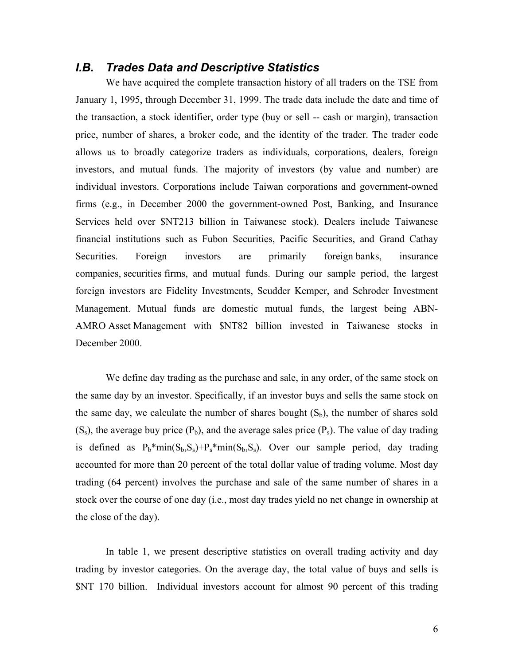## *I.B. Trades Data and Descriptive Statistics*

We have acquired the complete transaction history of all traders on the TSE from January 1, 1995, through December 31, 1999. The trade data include the date and time of the transaction, a stock identifier, order type (buy or sell -- cash or margin), transaction price, number of shares, a broker code, and the identity of the trader. The trader code allows us to broadly categorize traders as individuals, corporations, dealers, foreign investors, and mutual funds. The majority of investors (by value and number) are individual investors. Corporations include Taiwan corporations and government-owned firms (e.g., in December 2000 the government-owned Post, Banking, and Insurance Services held over \$NT213 billion in Taiwanese stock). Dealers include Taiwanese financial institutions such as Fubon Securities, Pacific Securities, and Grand Cathay Securities. Foreign investors are primarily foreign banks, insurance companies, securities firms, and mutual funds. During our sample period, the largest foreign investors are Fidelity Investments, Scudder Kemper, and Schroder Investment Management. Mutual funds are domestic mutual funds, the largest being ABN-AMRO Asset Management with \$NT82 billion invested in Taiwanese stocks in December 2000.

We define day trading as the purchase and sale, in any order, of the same stock on the same day by an investor. Specifically, if an investor buys and sells the same stock on the same day, we calculate the number of shares bought  $(S_b)$ , the number of shares sold  $(S<sub>s</sub>)$ , the average buy price  $(P<sub>b</sub>)$ , and the average sales price  $(P<sub>s</sub>)$ . The value of day trading is defined as  $P_b*min(S_b, S_s) + P_s*min(S_b, S_s)$ . Over our sample period, day trading accounted for more than 20 percent of the total dollar value of trading volume. Most day trading (64 percent) involves the purchase and sale of the same number of shares in a stock over the course of one day (i.e., most day trades yield no net change in ownership at the close of the day).

In table 1, we present descriptive statistics on overall trading activity and day trading by investor categories. On the average day, the total value of buys and sells is \$NT 170 billion. Individual investors account for almost 90 percent of this trading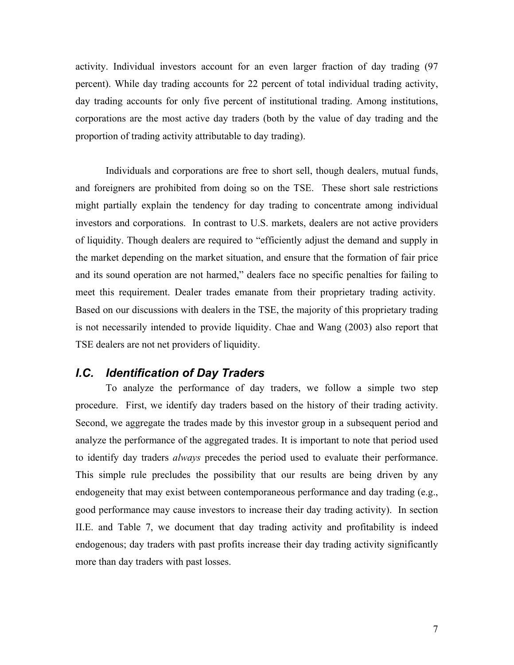activity. Individual investors account for an even larger fraction of day trading (97 percent). While day trading accounts for 22 percent of total individual trading activity, day trading accounts for only five percent of institutional trading. Among institutions, corporations are the most active day traders (both by the value of day trading and the proportion of trading activity attributable to day trading).

Individuals and corporations are free to short sell, though dealers, mutual funds, and foreigners are prohibited from doing so on the TSE. These short sale restrictions might partially explain the tendency for day trading to concentrate among individual investors and corporations. In contrast to U.S. markets, dealers are not active providers of liquidity. Though dealers are required to "efficiently adjust the demand and supply in the market depending on the market situation, and ensure that the formation of fair price and its sound operation are not harmed," dealers face no specific penalties for failing to meet this requirement. Dealer trades emanate from their proprietary trading activity. Based on our discussions with dealers in the TSE, the majority of this proprietary trading is not necessarily intended to provide liquidity. Chae and Wang (2003) also report that TSE dealers are not net providers of liquidity.

### *I.C. Identification of Day Traders*

 To analyze the performance of day traders, we follow a simple two step procedure. First, we identify day traders based on the history of their trading activity. Second, we aggregate the trades made by this investor group in a subsequent period and analyze the performance of the aggregated trades. It is important to note that period used to identify day traders *always* precedes the period used to evaluate their performance. This simple rule precludes the possibility that our results are being driven by any endogeneity that may exist between contemporaneous performance and day trading (e.g., good performance may cause investors to increase their day trading activity). In section II.E. and Table 7, we document that day trading activity and profitability is indeed endogenous; day traders with past profits increase their day trading activity significantly more than day traders with past losses.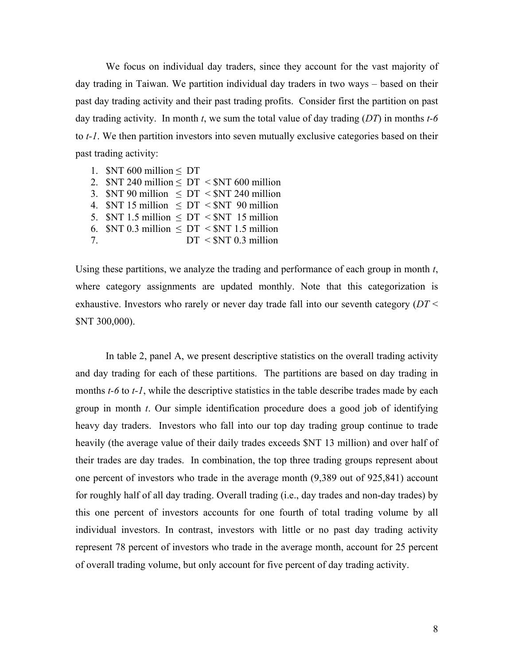We focus on individual day traders, since they account for the vast majority of day trading in Taiwan. We partition individual day traders in two ways – based on their past day trading activity and their past trading profits. Consider first the partition on past day trading activity. In month *t*, we sum the total value of day trading (*DT*) in months *t-6*  to *t-1*. We then partition investors into seven mutually exclusive categories based on their past trading activity:

1.  $NT$  600 million  $\leq DT$ 2.  $NT$  240 million  $\leq DT < NT$  600 million 3.  $NT$  90 million  $\leq DT < NT$  240 million 4.  $NT$  15 million  $\leq DT \leq NT$  90 million 5.  $NT$  1.5 million  $\leq DT < NT$  15 million 6.  $NT$  0.3 million  $\leq DT \leq NT$  1.5 million 7.  $DT < $NT 0.3$  million

Using these partitions, we analyze the trading and performance of each group in month *t*, where category assignments are updated monthly. Note that this categorization is exhaustive. Investors who rarely or never day trade fall into our seventh category (*DT* < \$NT 300,000).

In table 2, panel A, we present descriptive statistics on the overall trading activity and day trading for each of these partitions. The partitions are based on day trading in months *t-6* to *t-1*, while the descriptive statistics in the table describe trades made by each group in month *t*. Our simple identification procedure does a good job of identifying heavy day traders. Investors who fall into our top day trading group continue to trade heavily (the average value of their daily trades exceeds \$NT 13 million) and over half of their trades are day trades. In combination, the top three trading groups represent about one percent of investors who trade in the average month (9,389 out of 925,841) account for roughly half of all day trading. Overall trading (i.e., day trades and non-day trades) by this one percent of investors accounts for one fourth of total trading volume by all individual investors. In contrast, investors with little or no past day trading activity represent 78 percent of investors who trade in the average month, account for 25 percent of overall trading volume, but only account for five percent of day trading activity.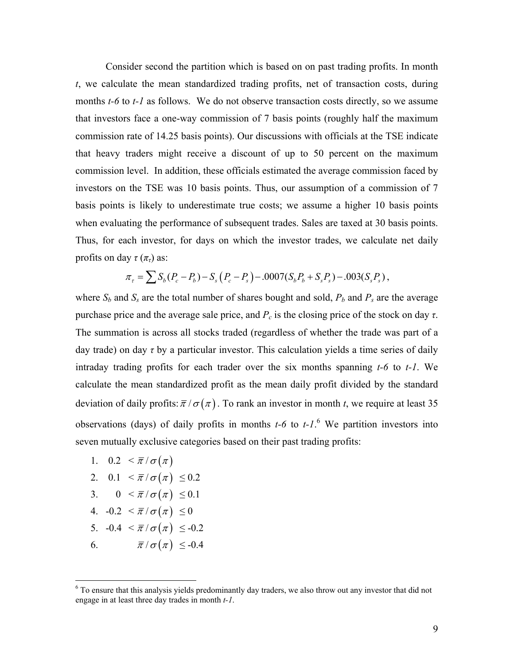Consider second the partition which is based on on past trading profits. In month *t*, we calculate the mean standardized trading profits, net of transaction costs, during months *t*-6 to *t*-1 as follows. We do not observe transaction costs directly, so we assume that investors face a one-way commission of 7 basis points (roughly half the maximum commission rate of 14.25 basis points). Our discussions with officials at the TSE indicate that heavy traders might receive a discount of up to 50 percent on the maximum commission level. In addition, these officials estimated the average commission faced by investors on the TSE was 10 basis points. Thus, our assumption of a commission of 7 basis points is likely to underestimate true costs; we assume a higher 10 basis points when evaluating the performance of subsequent trades. Sales are taxed at 30 basis points. Thus, for each investor, for days on which the investor trades, we calculate net daily profits on day  $\tau(\pi_t)$  as:

$$
\pi_{\tau} = \sum S_b (P_c - P_b) - S_s (P_c - P_s) - .0007 (S_b P_b + S_s P_s) - .003 (S_s P_s),
$$

where  $S_b$  and  $S_s$  are the total number of shares bought and sold,  $P_b$  and  $P_s$  are the average purchase price and the average sale price, and  $P_c$  is the closing price of the stock on day *τ*. The summation is across all stocks traded (regardless of whether the trade was part of a day trade) on day *τ* by a particular investor. This calculation yields a time series of daily intraday trading profits for each trader over the six months spanning *t-6* to *t-1*. We calculate the mean standardized profit as the mean daily profit divided by the standard deviation of daily profits:  $\bar{\pi}/\sigma(\pi)$ . To rank an investor in month *t*, we require at least 35 observations (days) of daily profits in months  $t-6$  to  $t-1$ .<sup>6</sup> We partition investors into seven mutually exclusive categories based on their past trading profits:

- 1.  $0.2 < \overline{\pi}/\sigma(\pi)$
- 2.  $0.1 < \bar{\pi}/\sigma(\pi) \leq 0.2$
- 3.  $0 < \overline{\pi}/\sigma(\pi) \leq 0.1$
- 4.  $-0.2 < \bar{\pi}/\sigma(\pi) \le 0$
- 5.  $-0.4 < \bar{\pi}/\sigma(\pi) \leq -0.2$
- 6.  $\overline{\pi}/\sigma(\pi) \leq -0.4$

 $\overline{a}$ 

<sup>&</sup>lt;sup>6</sup> To ensure that this analysis yields predominantly day traders, we also throw out any investor that did not engage in at least three day trades in month *t-1*.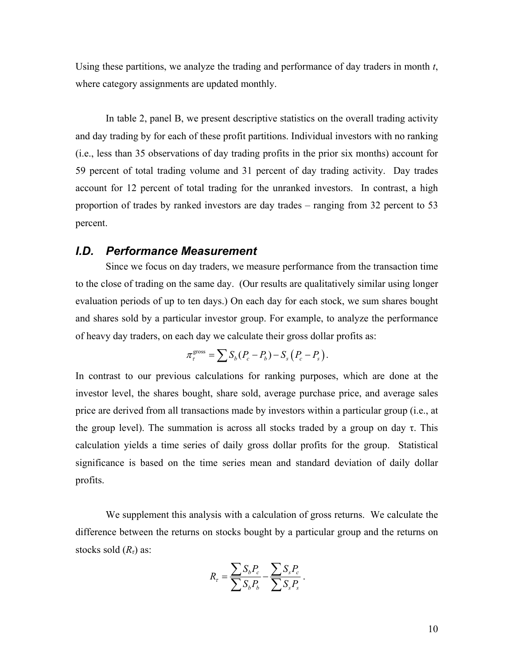Using these partitions, we analyze the trading and performance of day traders in month *t*, where category assignments are updated monthly.

 In table 2, panel B, we present descriptive statistics on the overall trading activity and day trading by for each of these profit partitions. Individual investors with no ranking (i.e., less than 35 observations of day trading profits in the prior six months) account for 59 percent of total trading volume and 31 percent of day trading activity. Day trades account for 12 percent of total trading for the unranked investors. In contrast, a high proportion of trades by ranked investors are day trades – ranging from 32 percent to 53 percent.

### *I.D. Performance Measurement*

Since we focus on day traders, we measure performance from the transaction time to the close of trading on the same day. (Our results are qualitatively similar using longer evaluation periods of up to ten days.) On each day for each stock, we sum shares bought and shares sold by a particular investor group. For example, to analyze the performance of heavy day traders, on each day we calculate their gross dollar profits as:

$$
\pi_{\tau}^{\text{gross}} = \sum S_b (P_c - P_b) - S_s (P_c - P_s).
$$

In contrast to our previous calculations for ranking purposes, which are done at the investor level, the shares bought, share sold, average purchase price, and average sales price are derived from all transactions made by investors within a particular group (i.e., at the group level). The summation is across all stocks traded by a group on day  $\tau$ . This calculation yields a time series of daily gross dollar profits for the group. Statistical significance is based on the time series mean and standard deviation of daily dollar profits.

 We supplement this analysis with a calculation of gross returns. We calculate the difference between the returns on stocks bought by a particular group and the returns on stocks sold (*Rτ*) as:

$$
R_{\rm r} = \frac{\sum S_b P_c}{\sum S_b P_b} - \frac{\sum S_s P_c}{\sum S_s P_s}.
$$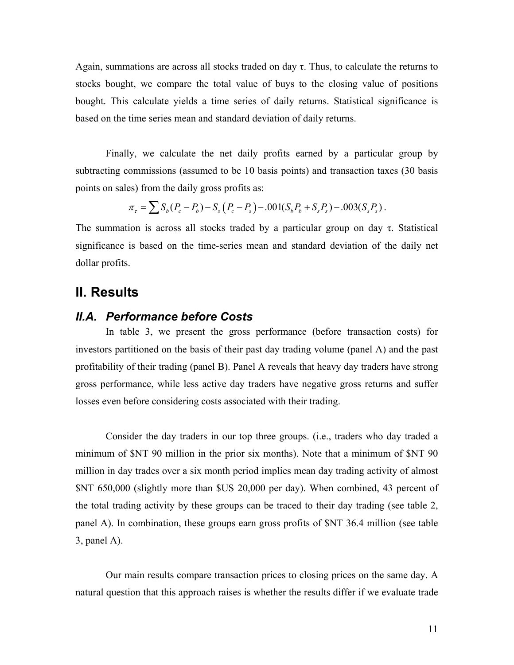Again, summations are across all stocks traded on day  $\tau$ . Thus, to calculate the returns to stocks bought, we compare the total value of buys to the closing value of positions bought. This calculate yields a time series of daily returns. Statistical significance is based on the time series mean and standard deviation of daily returns.

 Finally, we calculate the net daily profits earned by a particular group by subtracting commissions (assumed to be 10 basis points) and transaction taxes (30 basis points on sales) from the daily gross profits as:

$$
\pi_{\tau} = \sum S_b (P_c - P_b) - S_s (P_c - P_s) - .001 (S_b P_b + S_s P_s) - .003 (S_s P_s).
$$

The summation is across all stocks traded by a particular group on day  $\tau$ . Statistical significance is based on the time-series mean and standard deviation of the daily net dollar profits.

## **II. Results**

### *II.A. Performance before Costs*

 In table 3, we present the gross performance (before transaction costs) for investors partitioned on the basis of their past day trading volume (panel A) and the past profitability of their trading (panel B). Panel A reveals that heavy day traders have strong gross performance, while less active day traders have negative gross returns and suffer losses even before considering costs associated with their trading.

 Consider the day traders in our top three groups. (i.e., traders who day traded a minimum of \$NT 90 million in the prior six months). Note that a minimum of \$NT 90 million in day trades over a six month period implies mean day trading activity of almost \$NT 650,000 (slightly more than \$US 20,000 per day). When combined, 43 percent of the total trading activity by these groups can be traced to their day trading (see table 2, panel A). In combination, these groups earn gross profits of \$NT 36.4 million (see table 3, panel A).

 Our main results compare transaction prices to closing prices on the same day. A natural question that this approach raises is whether the results differ if we evaluate trade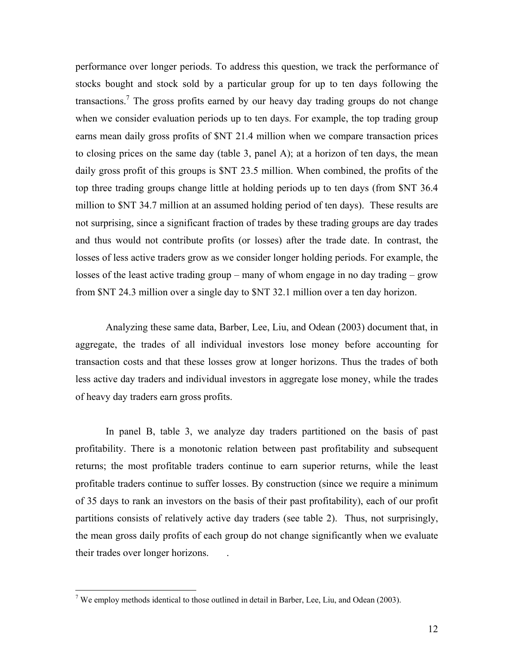performance over longer periods. To address this question, we track the performance of stocks bought and stock sold by a particular group for up to ten days following the transactions.<sup>7</sup> The gross profits earned by our heavy day trading groups do not change when we consider evaluation periods up to ten days. For example, the top trading group earns mean daily gross profits of \$NT 21.4 million when we compare transaction prices to closing prices on the same day (table 3, panel A); at a horizon of ten days, the mean daily gross profit of this groups is \$NT 23.5 million. When combined, the profits of the top three trading groups change little at holding periods up to ten days (from \$NT 36.4 million to \$NT 34.7 million at an assumed holding period of ten days). These results are not surprising, since a significant fraction of trades by these trading groups are day trades and thus would not contribute profits (or losses) after the trade date. In contrast, the losses of less active traders grow as we consider longer holding periods. For example, the losses of the least active trading group – many of whom engage in no day trading – grow from \$NT 24.3 million over a single day to \$NT 32.1 million over a ten day horizon.

Analyzing these same data, Barber, Lee, Liu, and Odean (2003) document that, in aggregate, the trades of all individual investors lose money before accounting for transaction costs and that these losses grow at longer horizons. Thus the trades of both less active day traders and individual investors in aggregate lose money, while the trades of heavy day traders earn gross profits.

 In panel B, table 3, we analyze day traders partitioned on the basis of past profitability. There is a monotonic relation between past profitability and subsequent returns; the most profitable traders continue to earn superior returns, while the least profitable traders continue to suffer losses. By construction (since we require a minimum of 35 days to rank an investors on the basis of their past profitability), each of our profit partitions consists of relatively active day traders (see table 2). Thus, not surprisingly, the mean gross daily profits of each group do not change significantly when we evaluate their trades over longer horizons. .

<sup>&</sup>lt;sup>7</sup> We employ methods identical to those outlined in detail in Barber, Lee, Liu, and Odean (2003).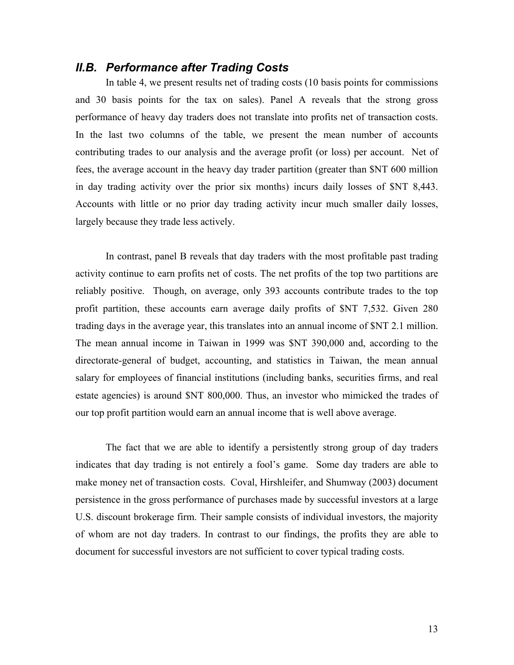## *II.B. Performance after Trading Costs*

In table 4, we present results net of trading costs (10 basis points for commissions and 30 basis points for the tax on sales). Panel A reveals that the strong gross performance of heavy day traders does not translate into profits net of transaction costs. In the last two columns of the table, we present the mean number of accounts contributing trades to our analysis and the average profit (or loss) per account. Net of fees, the average account in the heavy day trader partition (greater than \$NT 600 million in day trading activity over the prior six months) incurs daily losses of \$NT 8,443. Accounts with little or no prior day trading activity incur much smaller daily losses, largely because they trade less actively.

In contrast, panel B reveals that day traders with the most profitable past trading activity continue to earn profits net of costs. The net profits of the top two partitions are reliably positive. Though, on average, only 393 accounts contribute trades to the top profit partition, these accounts earn average daily profits of \$NT 7,532. Given 280 trading days in the average year, this translates into an annual income of \$NT 2.1 million. The mean annual income in Taiwan in 1999 was \$NT 390,000 and, according to the directorate-general of budget, accounting, and statistics in Taiwan, the mean annual salary for employees of financial institutions (including banks, securities firms, and real estate agencies) is around \$NT 800,000. Thus, an investor who mimicked the trades of our top profit partition would earn an annual income that is well above average.

The fact that we are able to identify a persistently strong group of day traders indicates that day trading is not entirely a fool's game. Some day traders are able to make money net of transaction costs. Coval, Hirshleifer, and Shumway (2003) document persistence in the gross performance of purchases made by successful investors at a large U.S. discount brokerage firm. Their sample consists of individual investors, the majority of whom are not day traders. In contrast to our findings, the profits they are able to document for successful investors are not sufficient to cover typical trading costs.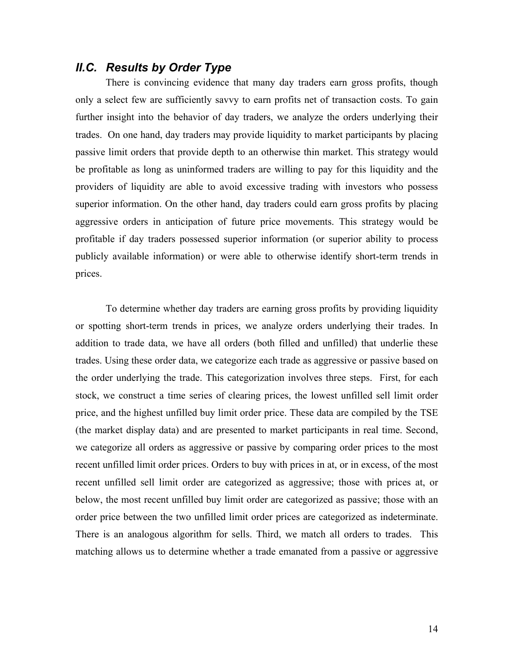## *II.C. Results by Order Type*

There is convincing evidence that many day traders earn gross profits, though only a select few are sufficiently savvy to earn profits net of transaction costs. To gain further insight into the behavior of day traders, we analyze the orders underlying their trades. On one hand, day traders may provide liquidity to market participants by placing passive limit orders that provide depth to an otherwise thin market. This strategy would be profitable as long as uninformed traders are willing to pay for this liquidity and the providers of liquidity are able to avoid excessive trading with investors who possess superior information. On the other hand, day traders could earn gross profits by placing aggressive orders in anticipation of future price movements. This strategy would be profitable if day traders possessed superior information (or superior ability to process publicly available information) or were able to otherwise identify short-term trends in prices.

 To determine whether day traders are earning gross profits by providing liquidity or spotting short-term trends in prices, we analyze orders underlying their trades. In addition to trade data, we have all orders (both filled and unfilled) that underlie these trades. Using these order data, we categorize each trade as aggressive or passive based on the order underlying the trade. This categorization involves three steps. First, for each stock, we construct a time series of clearing prices, the lowest unfilled sell limit order price, and the highest unfilled buy limit order price. These data are compiled by the TSE (the market display data) and are presented to market participants in real time. Second, we categorize all orders as aggressive or passive by comparing order prices to the most recent unfilled limit order prices. Orders to buy with prices in at, or in excess, of the most recent unfilled sell limit order are categorized as aggressive; those with prices at, or below, the most recent unfilled buy limit order are categorized as passive; those with an order price between the two unfilled limit order prices are categorized as indeterminate. There is an analogous algorithm for sells. Third, we match all orders to trades. This matching allows us to determine whether a trade emanated from a passive or aggressive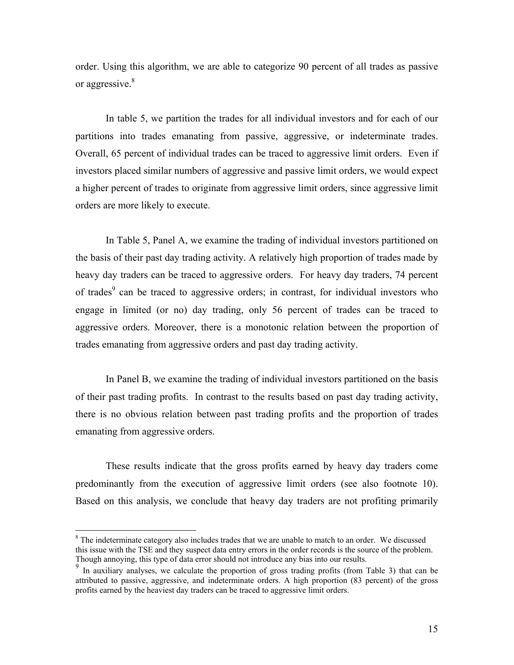order. Using this algorithm, we are able to categorize 90 percent of all trades as passive or aggressive.<sup>8</sup>

 In table 5, we partition the trades for all individual investors and for each of our partitions into trades emanating from passive, aggressive, or indeterminate trades. Overall, 65 percent of individual trades can be traced to aggressive limit orders. Even if investors placed similar numbers of aggressive and passive limit orders, we would expect a higher percent of trades to originate from aggressive limit orders, since aggressive limit orders are more likely to execute.

In Table 5, Panel A, we examine the trading of individual investors partitioned on the basis of their past day trading activity. A relatively high proportion of trades made by heavy day traders can be traced to aggressive orders. For heavy day traders, 74 percent of trades<sup>9</sup> can be traced to aggressive orders; in contrast, for individual investors who engage in limited (or no) day trading, only 56 percent of trades can be traced to aggressive orders. Moreover, there is a monotonic relation between the proportion of trades emanating from aggressive orders and past day trading activity.

In Panel B, we examine the trading of individual investors partitioned on the basis of their past trading profits. In contrast to the results based on past day trading activity, there is no obvious relation between past trading profits and the proportion of trades emanating from aggressive orders.

These results indicate that the gross profits earned by heavy day traders come predominantly from the execution of aggressive limit orders (see also footnote 10). Based on this analysis, we conclude that heavy day traders are not profiting primarily

 $\overline{a}$ 

 $8$  The indeterminate category also includes trades that we are unable to match to an order. We discussed this issue with the TSE and they suspect data entry errors in the order records is the source of the problem. Though annoying, this type of data error should not introduce any bias into our results.

<sup>&</sup>lt;sup>9</sup> In auxiliary analyses, we calculate the proportion of gross trading profits (from Table 3) that can be attributed to passive, aggressive, and indeterminate orders. A high proportion (83 percent) of the gross profits earned by the heaviest day traders can be traced to aggressive limit orders.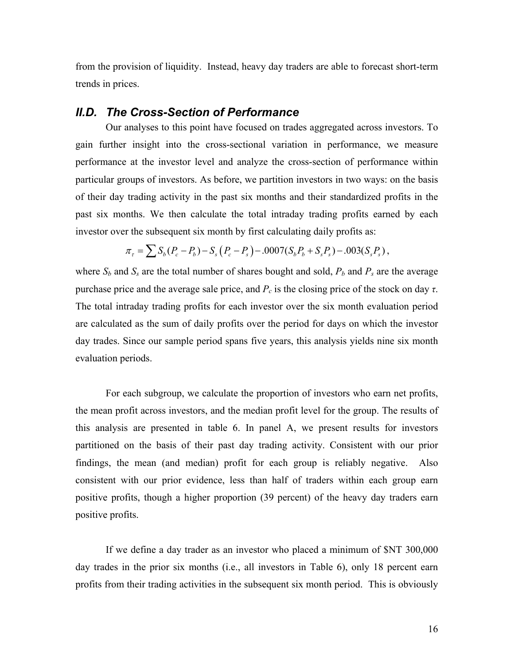from the provision of liquidity. Instead, heavy day traders are able to forecast short-term trends in prices.

### *II.D. The Cross-Section of Performance*

 Our analyses to this point have focused on trades aggregated across investors. To gain further insight into the cross-sectional variation in performance, we measure performance at the investor level and analyze the cross-section of performance within particular groups of investors. As before, we partition investors in two ways: on the basis of their day trading activity in the past six months and their standardized profits in the past six months. We then calculate the total intraday trading profits earned by each investor over the subsequent six month by first calculating daily profits as:

$$
\pi_{\tau} = \sum S_b (P_c - P_b) - S_s (P_c - P_s) - .0007 (S_b P_b + S_s P_s) - .003 (S_s P_s),
$$

where  $S_b$  and  $S_s$  are the total number of shares bought and sold,  $P_b$  and  $P_s$  are the average purchase price and the average sale price, and  $P_c$  is the closing price of the stock on day *τ*. The total intraday trading profits for each investor over the six month evaluation period are calculated as the sum of daily profits over the period for days on which the investor day trades. Since our sample period spans five years, this analysis yields nine six month evaluation periods.

 For each subgroup, we calculate the proportion of investors who earn net profits, the mean profit across investors, and the median profit level for the group. The results of this analysis are presented in table 6. In panel A, we present results for investors partitioned on the basis of their past day trading activity. Consistent with our prior findings, the mean (and median) profit for each group is reliably negative. Also consistent with our prior evidence, less than half of traders within each group earn positive profits, though a higher proportion (39 percent) of the heavy day traders earn positive profits.

 If we define a day trader as an investor who placed a minimum of \$NT 300,000 day trades in the prior six months (i.e., all investors in Table 6), only 18 percent earn profits from their trading activities in the subsequent six month period. This is obviously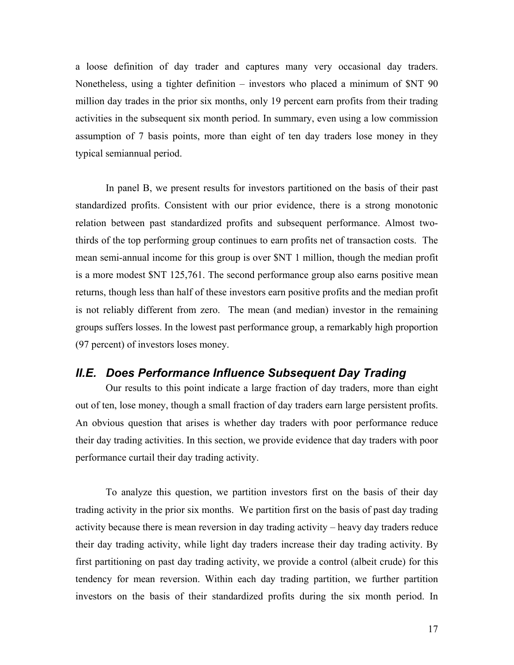a loose definition of day trader and captures many very occasional day traders. Nonetheless, using a tighter definition – investors who placed a minimum of \$NT 90 million day trades in the prior six months, only 19 percent earn profits from their trading activities in the subsequent six month period. In summary, even using a low commission assumption of 7 basis points, more than eight of ten day traders lose money in they typical semiannual period.

 In panel B, we present results for investors partitioned on the basis of their past standardized profits. Consistent with our prior evidence, there is a strong monotonic relation between past standardized profits and subsequent performance. Almost twothirds of the top performing group continues to earn profits net of transaction costs. The mean semi-annual income for this group is over \$NT 1 million, though the median profit is a more modest \$NT 125,761. The second performance group also earns positive mean returns, though less than half of these investors earn positive profits and the median profit is not reliably different from zero. The mean (and median) investor in the remaining groups suffers losses. In the lowest past performance group, a remarkably high proportion (97 percent) of investors loses money.

### *II.E. Does Performance Influence Subsequent Day Trading*

 Our results to this point indicate a large fraction of day traders, more than eight out of ten, lose money, though a small fraction of day traders earn large persistent profits. An obvious question that arises is whether day traders with poor performance reduce their day trading activities. In this section, we provide evidence that day traders with poor performance curtail their day trading activity.

 To analyze this question, we partition investors first on the basis of their day trading activity in the prior six months. We partition first on the basis of past day trading activity because there is mean reversion in day trading activity – heavy day traders reduce their day trading activity, while light day traders increase their day trading activity. By first partitioning on past day trading activity, we provide a control (albeit crude) for this tendency for mean reversion. Within each day trading partition, we further partition investors on the basis of their standardized profits during the six month period. In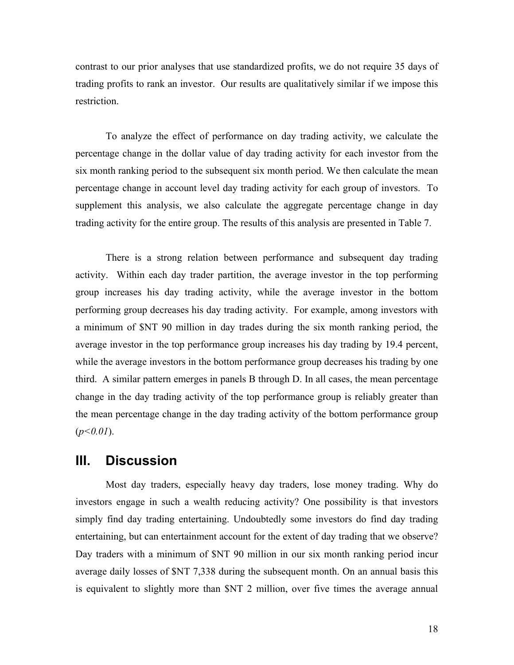contrast to our prior analyses that use standardized profits, we do not require 35 days of trading profits to rank an investor. Our results are qualitatively similar if we impose this restriction.

To analyze the effect of performance on day trading activity, we calculate the percentage change in the dollar value of day trading activity for each investor from the six month ranking period to the subsequent six month period. We then calculate the mean percentage change in account level day trading activity for each group of investors. To supplement this analysis, we also calculate the aggregate percentage change in day trading activity for the entire group. The results of this analysis are presented in Table 7.

 There is a strong relation between performance and subsequent day trading activity. Within each day trader partition, the average investor in the top performing group increases his day trading activity, while the average investor in the bottom performing group decreases his day trading activity. For example, among investors with a minimum of \$NT 90 million in day trades during the six month ranking period, the average investor in the top performance group increases his day trading by 19.4 percent, while the average investors in the bottom performance group decreases his trading by one third. A similar pattern emerges in panels B through D. In all cases, the mean percentage change in the day trading activity of the top performance group is reliably greater than the mean percentage change in the day trading activity of the bottom performance group (*p<0.01*).

## **III. Discussion**

Most day traders, especially heavy day traders, lose money trading. Why do investors engage in such a wealth reducing activity? One possibility is that investors simply find day trading entertaining. Undoubtedly some investors do find day trading entertaining, but can entertainment account for the extent of day trading that we observe? Day traders with a minimum of \$NT 90 million in our six month ranking period incur average daily losses of \$NT 7,338 during the subsequent month. On an annual basis this is equivalent to slightly more than \$NT 2 million, over five times the average annual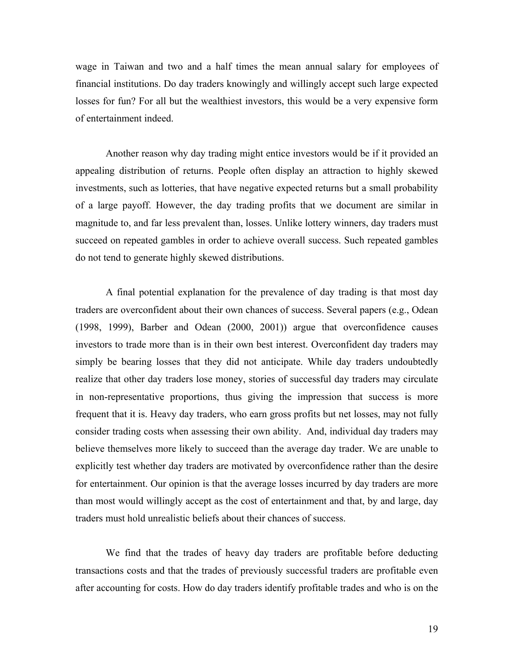wage in Taiwan and two and a half times the mean annual salary for employees of financial institutions. Do day traders knowingly and willingly accept such large expected losses for fun? For all but the wealthiest investors, this would be a very expensive form of entertainment indeed.

Another reason why day trading might entice investors would be if it provided an appealing distribution of returns. People often display an attraction to highly skewed investments, such as lotteries, that have negative expected returns but a small probability of a large payoff. However, the day trading profits that we document are similar in magnitude to, and far less prevalent than, losses. Unlike lottery winners, day traders must succeed on repeated gambles in order to achieve overall success. Such repeated gambles do not tend to generate highly skewed distributions.

A final potential explanation for the prevalence of day trading is that most day traders are overconfident about their own chances of success. Several papers (e.g., Odean (1998, 1999), Barber and Odean (2000, 2001)) argue that overconfidence causes investors to trade more than is in their own best interest. Overconfident day traders may simply be bearing losses that they did not anticipate. While day traders undoubtedly realize that other day traders lose money, stories of successful day traders may circulate in non-representative proportions, thus giving the impression that success is more frequent that it is. Heavy day traders, who earn gross profits but net losses, may not fully consider trading costs when assessing their own ability. And, individual day traders may believe themselves more likely to succeed than the average day trader. We are unable to explicitly test whether day traders are motivated by overconfidence rather than the desire for entertainment. Our opinion is that the average losses incurred by day traders are more than most would willingly accept as the cost of entertainment and that, by and large, day traders must hold unrealistic beliefs about their chances of success.

We find that the trades of heavy day traders are profitable before deducting transactions costs and that the trades of previously successful traders are profitable even after accounting for costs. How do day traders identify profitable trades and who is on the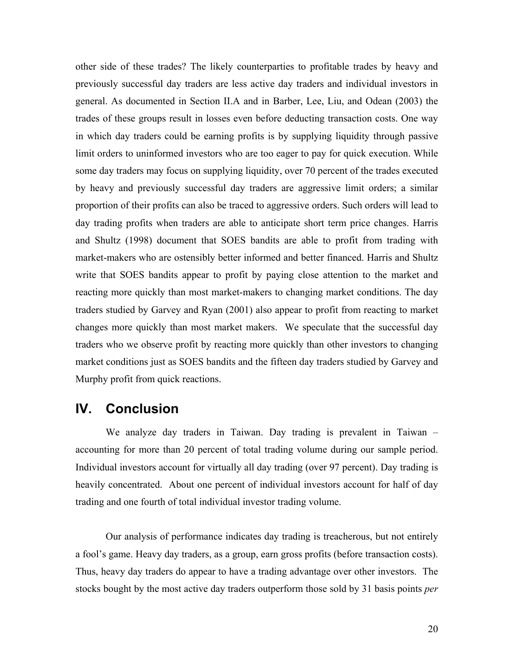other side of these trades? The likely counterparties to profitable trades by heavy and previously successful day traders are less active day traders and individual investors in general. As documented in Section II.A and in Barber, Lee, Liu, and Odean (2003) the trades of these groups result in losses even before deducting transaction costs. One way in which day traders could be earning profits is by supplying liquidity through passive limit orders to uninformed investors who are too eager to pay for quick execution. While some day traders may focus on supplying liquidity, over 70 percent of the trades executed by heavy and previously successful day traders are aggressive limit orders; a similar proportion of their profits can also be traced to aggressive orders. Such orders will lead to day trading profits when traders are able to anticipate short term price changes. Harris and Shultz (1998) document that SOES bandits are able to profit from trading with market-makers who are ostensibly better informed and better financed. Harris and Shultz write that SOES bandits appear to profit by paying close attention to the market and reacting more quickly than most market-makers to changing market conditions. The day traders studied by Garvey and Ryan (2001) also appear to profit from reacting to market changes more quickly than most market makers. We speculate that the successful day traders who we observe profit by reacting more quickly than other investors to changing market conditions just as SOES bandits and the fifteen day traders studied by Garvey and Murphy profit from quick reactions.

## **IV. Conclusion**

We analyze day traders in Taiwan. Day trading is prevalent in Taiwan – accounting for more than 20 percent of total trading volume during our sample period. Individual investors account for virtually all day trading (over 97 percent). Day trading is heavily concentrated. About one percent of individual investors account for half of day trading and one fourth of total individual investor trading volume.

Our analysis of performance indicates day trading is treacherous, but not entirely a fool's game. Heavy day traders, as a group, earn gross profits (before transaction costs). Thus, heavy day traders do appear to have a trading advantage over other investors. The stocks bought by the most active day traders outperform those sold by 31 basis points *per*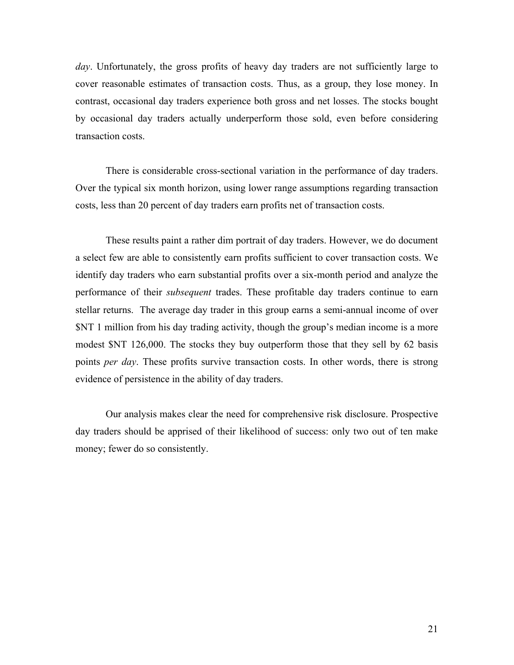*day*. Unfortunately, the gross profits of heavy day traders are not sufficiently large to cover reasonable estimates of transaction costs. Thus, as a group, they lose money. In contrast, occasional day traders experience both gross and net losses. The stocks bought by occasional day traders actually underperform those sold, even before considering transaction costs.

There is considerable cross-sectional variation in the performance of day traders. Over the typical six month horizon, using lower range assumptions regarding transaction costs, less than 20 percent of day traders earn profits net of transaction costs.

These results paint a rather dim portrait of day traders. However, we do document a select few are able to consistently earn profits sufficient to cover transaction costs. We identify day traders who earn substantial profits over a six-month period and analyze the performance of their *subsequent* trades. These profitable day traders continue to earn stellar returns. The average day trader in this group earns a semi-annual income of over \$NT 1 million from his day trading activity, though the group's median income is a more modest \$NT 126,000. The stocks they buy outperform those that they sell by 62 basis points *per day*. These profits survive transaction costs. In other words, there is strong evidence of persistence in the ability of day traders.

Our analysis makes clear the need for comprehensive risk disclosure. Prospective day traders should be apprised of their likelihood of success: only two out of ten make money; fewer do so consistently.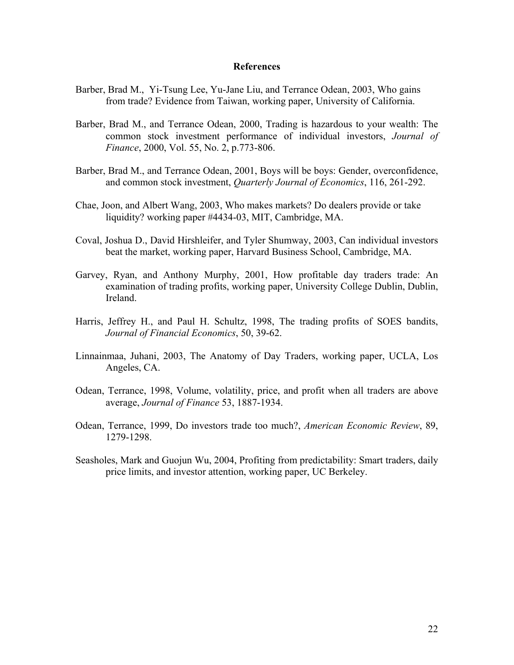#### **References**

- Barber, Brad M., Yi-Tsung Lee, Yu-Jane Liu, and Terrance Odean, 2003, Who gains from trade? Evidence from Taiwan, working paper, University of California.
- Barber, Brad M., and Terrance Odean, 2000, Trading is hazardous to your wealth: The common stock investment performance of individual investors, *Journal of Finance*, 2000, Vol. 55, No. 2, p.773-806.
- Barber, Brad M., and Terrance Odean, 2001, Boys will be boys: Gender, overconfidence, and common stock investment, *Quarterly Journal of Economics*, 116, 261-292.
- Chae, Joon, and Albert Wang, 2003, Who makes markets? Do dealers provide or take liquidity? working paper #4434-03, MIT, Cambridge, MA.
- Coval, Joshua D., David Hirshleifer, and Tyler Shumway, 2003, Can individual investors beat the market, working paper, Harvard Business School, Cambridge, MA.
- Garvey, Ryan, and Anthony Murphy, 2001, How profitable day traders trade: An examination of trading profits, working paper, University College Dublin, Dublin, Ireland.
- Harris, Jeffrey H., and Paul H. Schultz, 1998, The trading profits of SOES bandits, *Journal of Financial Economics*, 50, 39-62.
- Linnainmaa, Juhani, 2003, The Anatomy of Day Traders, working paper, UCLA, Los Angeles, CA.
- Odean, Terrance, 1998, Volume, volatility, price, and profit when all traders are above average, *Journal of Finance* 53, 1887-1934.
- Odean, Terrance, 1999, Do investors trade too much?, *American Economic Review*, 89, 1279-1298.
- Seasholes, Mark and Guojun Wu, 2004, Profiting from predictability: Smart traders, daily price limits, and investor attention, working paper, UC Berkeley.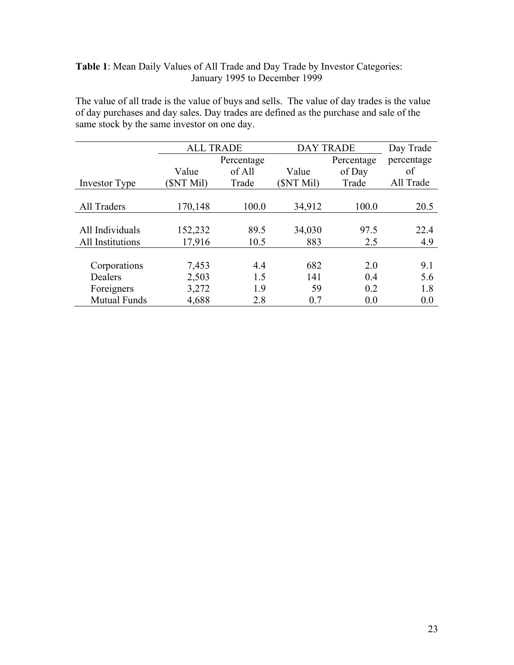### **Table 1**: Mean Daily Values of All Trade and Day Trade by Investor Categories: January 1995 to December 1999

The value of all trade is the value of buys and sells. The value of day trades is the value of day purchases and day sales. Day trades are defined as the purchase and sale of the same stock by the same investor on one day.

|                     | <b>ALL TRADE</b> |            | <b>DAY TRADE</b> |        | Day Trade  |
|---------------------|------------------|------------|------------------|--------|------------|
|                     |                  | Percentage | Percentage       |        | percentage |
|                     | Value            | of All     | Value            | of Day | of         |
| Investor Type       | <b>SNT Mil)</b>  | Trade      | (SNT Mil)        | Trade  | All Trade  |
|                     |                  |            |                  |        |            |
| All Traders         | 170,148          | 100.0      | 34,912           | 100.0  | 20.5       |
|                     |                  |            |                  |        |            |
| All Individuals     | 152,232          | 89.5       | 34,030           | 97.5   | 22.4       |
| All Institutions    | 17,916           | 10.5       | 883              | 2.5    | 4.9        |
|                     |                  |            |                  |        |            |
| Corporations        | 7,453            | 4.4        | 682              | 2.0    | 9.1        |
| Dealers             | 2,503            | 1.5        | 141              | 0.4    | 5.6        |
| Foreigners          | 3,272            | 1.9        | 59               | 0.2    | 1.8        |
| <b>Mutual Funds</b> | 4,688            | 2.8        | 0.7              | 0.0    | 0.0        |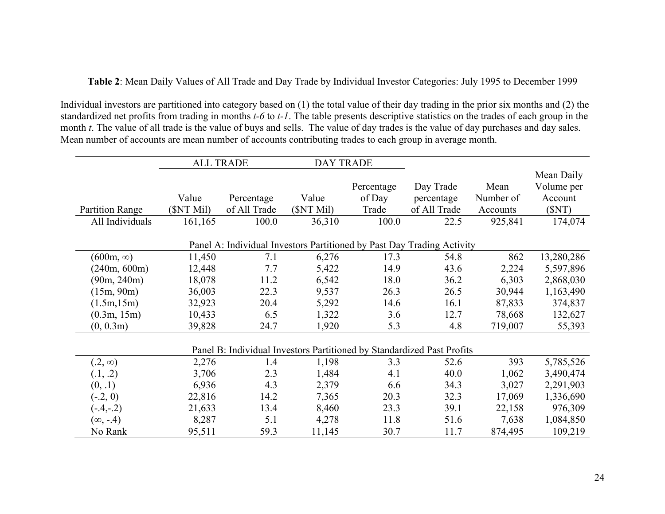**Table 2**: Mean Daily Values of All Trade and Day Trade by Individual Investor Categories: July 1995 to December 1999

Individual investors are partitioned into category based on (1) the total value of their day trading in the prior six months and (2) the standardized net profits from trading in months *t-6* to *t-1*. The table presents descriptive statistics on the trades of each group in the month *t*. The value of all trade is the value of buys and sells. The value of day trades is the value of day purchases and day sales. Mean number of accounts are mean number of accounts contributing trades to each group in average month.

|                        |            | <b>ALL TRADE</b>                                                       | <b>DAY TRADE</b> |            |              |           |            |
|------------------------|------------|------------------------------------------------------------------------|------------------|------------|--------------|-----------|------------|
|                        |            |                                                                        |                  |            |              |           | Mean Daily |
|                        |            |                                                                        |                  | Percentage | Day Trade    | Mean      | Volume per |
|                        | Value      | Percentage                                                             | Value            | of Day     | percentage   | Number of | Account    |
| <b>Partition Range</b> | (\$NT Mil) | of All Trade                                                           | (SNT Mil)        | Trade      | of All Trade | Accounts  | (SNT)      |
| All Individuals        | 161,165    | 100.0                                                                  | 36,310           | 100.0      | 22.5         | 925,841   | 174,074    |
|                        |            |                                                                        |                  |            |              |           |            |
|                        |            | Panel A: Individual Investors Partitioned by Past Day Trading Activity |                  |            |              |           |            |
| $(600m, \infty)$       | 11,450     | 7.1                                                                    | 6,276            | 17.3       | 54.8         | 862       | 13,280,286 |
| (240m, 600m)           | 12,448     | 7.7                                                                    | 5,422            | 14.9       | 43.6         | 2,224     | 5,597,896  |
| (90m, 240m)            | 18,078     | 11.2                                                                   | 6,542            | 18.0       | 36.2         | 6,303     | 2,868,030  |
| (15m, 90m)             | 36,003     | 22.3                                                                   | 9,537            | 26.3       | 26.5         | 30,944    | 1,163,490  |
| (1.5m, 15m)            | 32,923     | 20.4                                                                   | 5,292            | 14.6       | 16.1         | 87,833    | 374,837    |
| (0.3m, 15m)            | 10,433     | 6.5                                                                    | 1,322            | 3.6        | 12.7         | 78,668    | 132,627    |
| (0, 0.3m)              | 39,828     | 24.7                                                                   | 1,920            | 5.3        | 4.8          | 719,007   | 55,393     |
|                        |            |                                                                        |                  |            |              |           |            |
|                        |            | Panel B: Individual Investors Partitioned by Standardized Past Profits |                  |            |              |           |            |
| $(.2, \infty)$         | 2,276      | 1.4                                                                    | 1,198            | 3.3        | 52.6         | 393       | 5,785,526  |
| (0.1, 0.2)             | 3,706      | 2.3                                                                    | 1,484            | 4.1        | 40.0         | 1,062     | 3,490,474  |
| (0, .1)                | 6,936      | 4.3                                                                    | 2,379            | 6.6        | 34.3         | 3,027     | 2,291,903  |
| $(-.2, 0)$             | 22,816     | 14.2                                                                   | 7,365            | 20.3       | 32.3         | 17,069    | 1,336,690  |
| $(-4,-2)$              | 21,633     | 13.4                                                                   | 8,460            | 23.3       | 39.1         | 22,158    | 976,309    |
| $(\infty, -.4)$        | 8,287      | 5.1                                                                    | 4,278            | 11.8       | 51.6         | 7,638     | 1,084,850  |
| No Rank                | 95,511     | 59.3                                                                   | 11,145           | 30.7       | 11.7         | 874,495   | 109,219    |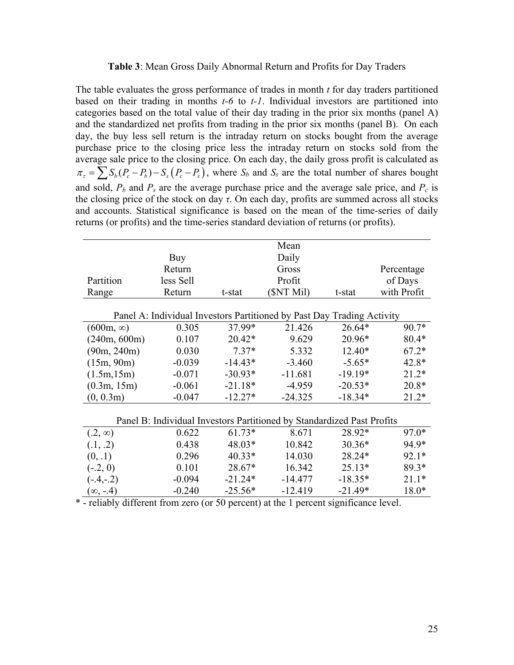#### **Table 3**: Mean Gross Daily Abnormal Return and Profits for Day Traders

The table evaluates the gross performance of trades in month *t* for day traders partitioned based on their trading in months *t-6* to *t-1*. Individual investors are partitioned into categories based on the total value of their day trading in the prior six months (panel A) and the standardized net profits from trading in the prior six months (panel B). On each day, the buy less sell return is the intraday return on stocks bought from the average purchase price to the closing price less the intraday return on stocks sold from the average sale price to the closing price. On each day, the daily gross profit is calculated as  $\pi_{\tau} = \sum S_b (P_c - P_b) - S_s (P_c - P_s)$ , where  $S_b$  and  $S_s$  are the total number of shares bought and sold,  $P_b$  and  $P_s$  are the average purchase price and the average sale price, and  $P_c$  is the closing price of the stock on day *τ*. On each day, profits are summed across all stocks and accounts. Statistical significance is based on the mean of the time-series of daily returns (or profits) and the time-series standard deviation of returns (or profits).

|                  |           |           | Mean                                                                   |           |             |
|------------------|-----------|-----------|------------------------------------------------------------------------|-----------|-------------|
|                  | Buy       | Daily     |                                                                        |           |             |
|                  | Return    |           | Gross                                                                  |           | Percentage  |
| Partition        | less Sell |           | Profit                                                                 |           | of Days     |
| Range            | Return    | t-stat    | (SNT Mil)                                                              | t-stat    | with Profit |
|                  |           |           |                                                                        |           |             |
|                  |           |           | Panel A: Individual Investors Partitioned by Past Day Trading Activity |           |             |
| $(600m, \infty)$ | 0.305     | 37.99*    | 21.426                                                                 | 26.64*    | 90.7*       |
| (240m, 600m)     | 0.107     | 20.42*    | 9.629                                                                  | 20.96*    | 80.4*       |
| (90m, 240m)      | 0.030     | $7.37*$   | 5.332                                                                  | 12.40*    | $67.2*$     |
| (15m, 90m)       | $-0.039$  | $-14.43*$ | $-3.460$                                                               | $-5.65*$  | 42.8*       |
| (1.5m, 15m)      | $-0.071$  | $-30.93*$ | $-11.681$                                                              | $-19.19*$ | $21.2*$     |
| (0.3m, 15m)      | $-0.061$  | $-21.18*$ | $-4.959$                                                               | $-20.53*$ | $20.8*$     |
| (0, 0.3m)        | $-0.047$  | $-12.27*$ | $-24.325$                                                              | $-18.34*$ | $21.2*$     |
|                  |           |           |                                                                        |           |             |
|                  |           |           | Panel B: Individual Investors Partitioned by Standardized Past Profits |           |             |
| $(.2, \infty)$   | 0.622     | $61.73*$  | 8.671                                                                  | 28.92*    | 97.0*       |
| (0.1, 0.2)       | 0.438     | 48.03*    | 10.842                                                                 | $30.36*$  | 94.9*       |
| (0, .1)          | 0.296     | $40.33*$  | 14.030                                                                 | 28.24*    | $92.1*$     |
| $(-.2, 0)$       | 0.101     | 28.67*    | 16.342                                                                 | $25.13*$  | $89.3*$     |
| $(-.4,-.2)$      | $-0.094$  | $-21.24*$ | $-14.477$                                                              | $-18.35*$ | $21.1*$     |
| $(\infty, -4)$   | $-0.240$  | $-25.56*$ | $-12.419$                                                              | $-21.49*$ | 18.0*       |

\* - reliably different from zero (or 50 percent) at the 1 percent significance level.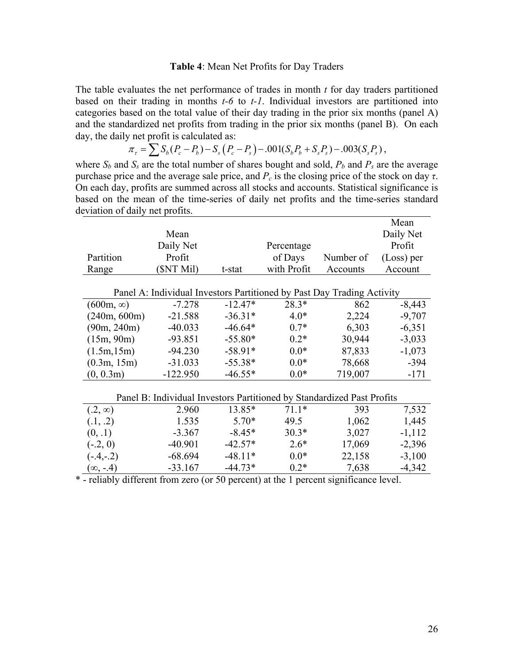#### **Table 4**: Mean Net Profits for Day Traders

The table evaluates the net performance of trades in month *t* for day traders partitioned based on their trading in months *t-6* to *t-1*. Individual investors are partitioned into categories based on the total value of their day trading in the prior six months (panel A) and the standardized net profits from trading in the prior six months (panel B). On each day, the daily net profit is calculated as:

$$
\pi_{\tau} = \sum S_b (P_c - P_b) - S_s (P_c - P_s) - .001 (S_b P_b + S_s P_s) - .003 (S_s P_s) ,
$$

where  $S_b$  and  $S_s$  are the total number of shares bought and sold,  $P_b$  and  $P_s$  are the average purchase price and the average sale price, and  $P_c$  is the closing price of the stock on day *τ*. On each day, profits are summed across all stocks and accounts. Statistical significance is based on the mean of the time-series of daily net profits and the time-series standard deviation of daily net profits.

|                  |                                                                        |           |             |           | Mean         |
|------------------|------------------------------------------------------------------------|-----------|-------------|-----------|--------------|
|                  | Mean                                                                   |           |             |           | Daily Net    |
|                  | Daily Net                                                              |           | Percentage  |           | Profit       |
| Partition        | Profit                                                                 |           | of Days     | Number of | $(Loss)$ per |
| Range            | (SNT Mil)                                                              | t-stat    | with Profit | Accounts  | Account      |
|                  |                                                                        |           |             |           |              |
|                  | Panel A: Individual Investors Partitioned by Past Day Trading Activity |           |             |           |              |
| $(600m, \infty)$ | $-7.278$                                                               | $-12.47*$ | $28.3*$     | 862       | $-8,443$     |
| (240m, 600m)     | $-21.588$                                                              | $-36.31*$ | $4.0*$      | 2,224     | $-9,707$     |
| (90m, 240m)      | $-40.033$                                                              | $-46.64*$ | $0.7*$      | 6,303     | $-6,351$     |
| (15m, 90m)       | $-93.851$                                                              | $-55.80*$ | $0.2*$      | 30,944    | $-3,033$     |
| (1.5m, 15m)      | $-94.230$                                                              | $-58.91*$ | $0.0*$      | 87,833    | $-1,073$     |
| (0.3m, 15m)      | $-31.033$                                                              | $-55.38*$ | $0.0*$      | 78,668    | $-394$       |
| (0, 0.3m)        | $-122.950$                                                             | $-46.55*$ | $0.0*$      | 719,007   | $-171$       |
|                  |                                                                        |           |             |           |              |
|                  | Panel B: Individual Investors Partitioned by Standardized Past Profits |           |             |           |              |
| $(.2, \infty)$   | 2.960                                                                  | 13.85*    | $71.1*$     | 393       | 7,532        |
| (.1, .2)         | 1.535                                                                  | $5.70*$   | 49.5        | 1,062     | 1,445        |
| (0, .1)          | $-3.367$                                                               | $-8.45*$  | $30.3*$     | 3,027     | $-1,112$     |
| $(-.2, 0)$       | $-40.901$                                                              | $-42.57*$ | $2.6*$      | 17,069    | $-2,396$     |
| $(-4,-2)$        | $-68.694$                                                              | $-48.11*$ | $0.0*$      | 22,158    | $-3,100$     |
| $(\infty, -4)$   | $-33.167$                                                              | $-44.73*$ | $0.2*$      | 7,638     | $-4,342$     |

\* - reliably different from zero (or 50 percent) at the 1 percent significance level.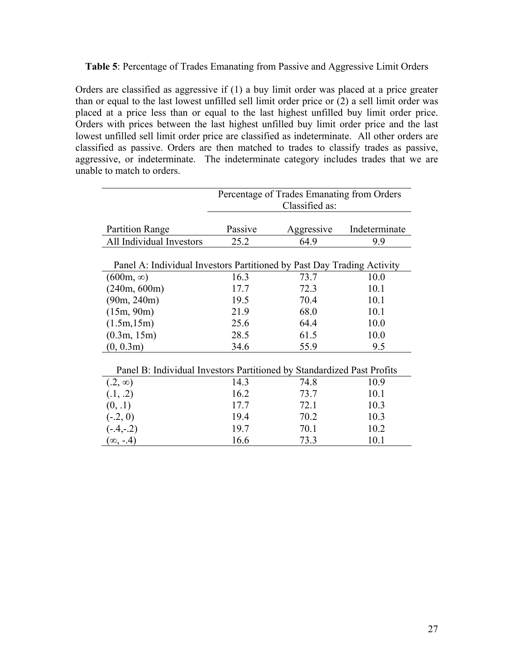**Table 5**: Percentage of Trades Emanating from Passive and Aggressive Limit Orders

Orders are classified as aggressive if (1) a buy limit order was placed at a price greater than or equal to the last lowest unfilled sell limit order price or (2) a sell limit order was placed at a price less than or equal to the last highest unfilled buy limit order price. Orders with prices between the last highest unfilled buy limit order price and the last lowest unfilled sell limit order price are classified as indeterminate. All other orders are classified as passive. Orders are then matched to trades to classify trades as passive, aggressive, or indeterminate. The indeterminate category includes trades that we are unable to match to orders.

|                                                                        | Percentage of Trades Emanating from Orders<br>Classified as: |            |               |  |  |  |
|------------------------------------------------------------------------|--------------------------------------------------------------|------------|---------------|--|--|--|
|                                                                        |                                                              |            |               |  |  |  |
| <b>Partition Range</b>                                                 | Passive                                                      | Aggressive | Indeterminate |  |  |  |
| All Individual Investors                                               | 25.2                                                         | 64.9       | 9.9           |  |  |  |
|                                                                        |                                                              |            |               |  |  |  |
| Panel A: Individual Investors Partitioned by Past Day Trading Activity |                                                              |            |               |  |  |  |
| $(600m, \infty)$                                                       | 16.3                                                         | 73.7       | 10.0          |  |  |  |
| (240m, 600m)                                                           | 17.7                                                         | 72.3       | 10.1          |  |  |  |
| (90m, 240m)                                                            | 19.5                                                         | 70.4       | 10.1          |  |  |  |
| (15m, 90m)                                                             | 21.9                                                         | 68.0       | 10.1          |  |  |  |
| (1.5m, 15m)                                                            | 25.6                                                         | 64.4       | 10.0          |  |  |  |
| (0.3m, 15m)                                                            | 28.5                                                         | 61.5       | 10.0          |  |  |  |
| (0, 0.3m)                                                              | 34.6                                                         | 55.9       | 9.5           |  |  |  |
|                                                                        |                                                              |            |               |  |  |  |
| Panel B: Individual Investors Partitioned by Standardized Past Profits |                                                              |            |               |  |  |  |
| $(.2, \infty)$                                                         | 14.3                                                         | 74.8       | 10.9          |  |  |  |
| (0.1, 0.2)                                                             | 16.2                                                         | 73.7       | 10.1          |  |  |  |
| (0, .1)                                                                | 17.7                                                         | 72.1       | 10.3          |  |  |  |
| $(-.2, 0)$                                                             | 19.4                                                         | 70.2       | 10.3          |  |  |  |
| $(-4,-2)$                                                              | 19.7                                                         | 70.1       | 10.2          |  |  |  |
| $(\infty, -4)$                                                         | 16.6                                                         | 73.3       | 10.1          |  |  |  |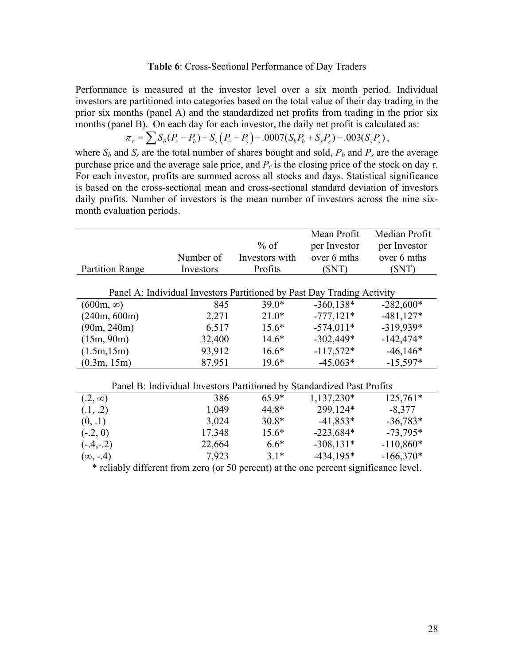#### **Table 6**: Cross-Sectional Performance of Day Traders

Performance is measured at the investor level over a six month period. Individual investors are partitioned into categories based on the total value of their day trading in the prior six months (panel A) and the standardized net profits from trading in the prior six months (panel B). On each day for each investor, the daily net profit is calculated as:

$$
\pi_{\tau} = \sum S_b (P_c - P_b) - S_s (P_c - P_s) - .0007 (S_b P_b + S_s P_s) - .003 (S_s P_s),
$$

where  $S_b$  and  $S_s$  are the total number of shares bought and sold,  $P_b$  and  $P_s$  are the average purchase price and the average sale price, and  $P_c$  is the closing price of the stock on day  $\tau$ . For each investor, profits are summed across all stocks and days. Statistical significance is based on the cross-sectional mean and cross-sectional standard deviation of investors daily profits. Number of investors is the mean number of investors across the nine sixmonth evaluation periods.

|                                                                        | Number of | $%$ of<br>Investors with | Mean Profit<br>per Investor<br>over 6 mths | Median Profit<br>per Investor<br>over 6 mths |  |  |
|------------------------------------------------------------------------|-----------|--------------------------|--------------------------------------------|----------------------------------------------|--|--|
| <b>Partition Range</b>                                                 | Investors | Profits                  | (SNT)                                      | (SNT)                                        |  |  |
| Panel A: Individual Investors Partitioned by Past Day Trading Activity |           |                          |                                            |                                              |  |  |
| $(600m, \infty)$                                                       | 845       | $39.0*$                  | $-360,138*$                                | $-282,600*$                                  |  |  |
| (240m, 600m)                                                           | 2,271     | $21.0*$                  | $-777,121*$                                | $-481,127*$                                  |  |  |
| (90m, 240m)                                                            | 6,517     | $15.6*$                  | $-574,011*$                                | $-319,939*$                                  |  |  |
| (15m, 90m)                                                             | 32,400    | $14.6*$                  | $-302,449*$                                | $-142,474*$                                  |  |  |
| (1.5m, 15m)                                                            | 93,912    | $16.6*$                  | $-117,572*$                                | $-46,146*$                                   |  |  |
| (0.3m, 15m)                                                            | 87,951    | $19.6*$                  | $-45,063*$                                 | $-15,597*$                                   |  |  |
| Panel B: Individual Investors Partitioned by Standardized Past Profits |           |                          |                                            |                                              |  |  |
| $(.2, \infty)$                                                         | 386       | $65.9*$                  | 1,137,230*                                 | $125,761*$                                   |  |  |
| (.1, .2)                                                               | 1,049     | 44.8*                    | 299,124*                                   | $-8,377$                                     |  |  |
| (0, .1)                                                                | 3,024     | $30.8*$                  | $-41,853*$                                 | $-36,783*$                                   |  |  |
| $(-.2, 0)$                                                             | 17,348    | $15.6*$                  | $-223,684*$                                | $-73,795*$                                   |  |  |
| $(-4,-2)$                                                              | 22,664    | $6.6*$                   | $-308,131*$                                | $-110,860*$                                  |  |  |
| $(\infty, -4)$                                                         | 7,923     | $3.1*$                   | $-434,195*$                                | $-166,370*$                                  |  |  |

\* reliably different from zero (or 50 percent) at the one percent significance level.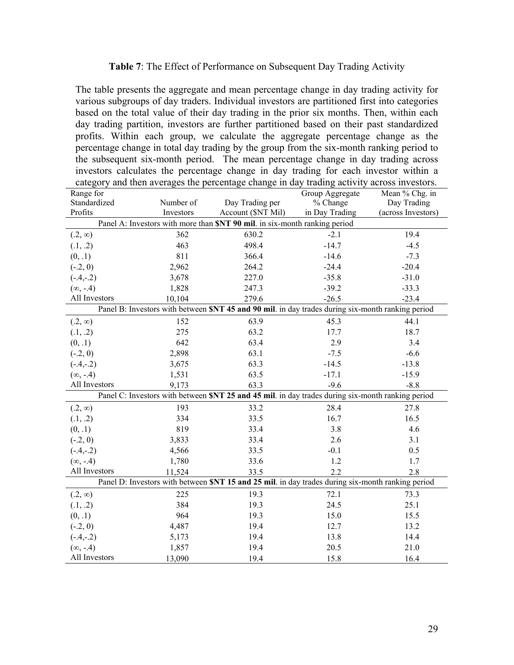#### **Table 7**: The Effect of Performance on Subsequent Day Trading Activity

The table presents the aggregate and mean percentage change in day trading activity for various subgroups of day traders. Individual investors are partitioned first into categories based on the total value of their day trading in the prior six months. Then, within each day trading partition, investors are further partitioned based on their past standardized profits. Within each group, we calculate the aggregate percentage change as the percentage change in total day trading by the group from the six-month ranking period to the subsequent six-month period. The mean percentage change in day trading across investors calculates the percentage change in day trading for each investor within a category and then averages the percentage change in day trading activity across investors.

| Range for                                                                                        |           |                                                                                                  | Group Aggregate | Mean % Chg. in     |  |  |
|--------------------------------------------------------------------------------------------------|-----------|--------------------------------------------------------------------------------------------------|-----------------|--------------------|--|--|
| Standardized                                                                                     | Number of | Day Trading per                                                                                  | % Change        | Day Trading        |  |  |
| Profits                                                                                          | Investors | Account (\$NT Mil)                                                                               | in Day Trading  | (across Investors) |  |  |
|                                                                                                  |           | Panel A: Investors with more than SNT 90 mil. in six-month ranking period                        |                 |                    |  |  |
| $(.2, \infty)$                                                                                   | 362       | 630.2                                                                                            | $-2.1$          | 19.4               |  |  |
| (0.1, 0.2)                                                                                       | 463       | 498.4                                                                                            | $-14.7$         | $-4.5$             |  |  |
| (0, .1)                                                                                          | 811       | 366.4                                                                                            | $-14.6$         | $-7.3$             |  |  |
| $(-.2, 0)$                                                                                       | 2,962     | 264.2                                                                                            | $-24.4$         | $-20.4$            |  |  |
| $(-.4,-.2)$                                                                                      | 3,678     | 227.0                                                                                            | $-35.8$         | $-31.0$            |  |  |
| $(\infty, -.4)$                                                                                  | 1,828     | 247.3                                                                                            | $-39.2$         | $-33.3$            |  |  |
| All Investors                                                                                    | 10,104    | 279.6                                                                                            | $-26.5$         | $-23.4$            |  |  |
|                                                                                                  |           | Panel B: Investors with between SNT 45 and 90 mil. in day trades during six-month ranking period |                 |                    |  |  |
| $(0.2, \infty)$                                                                                  | 152       | 63.9                                                                                             | 45.3            | 44.1               |  |  |
| (0.1, 0.2)                                                                                       | 275       | 63.2                                                                                             | 17.7            | 18.7               |  |  |
| (0, .1)                                                                                          | 642       | 63.4                                                                                             | 2.9             | 3.4                |  |  |
| $(-.2, 0)$                                                                                       | 2,898     | 63.1                                                                                             | $-7.5$          | $-6.6$             |  |  |
| $(-.4,-.2)$                                                                                      | 3,675     | 63.3                                                                                             | $-14.5$         | $-13.8$            |  |  |
| $(\infty, -.4)$                                                                                  | 1,531     | 63.5                                                                                             | $-17.1$         | $-15.9$            |  |  |
| All Investors                                                                                    | 9,173     | 63.3                                                                                             | $-9.6$          | $-8.8$             |  |  |
| Panel C: Investors with between SNT 25 and 45 mil. in day trades during six-month ranking period |           |                                                                                                  |                 |                    |  |  |
| $(.2, \infty)$                                                                                   | 193       | 33.2                                                                                             | 28.4            | 27.8               |  |  |
| (.1, .2)                                                                                         | 334       | 33.5                                                                                             | 16.7            | 16.5               |  |  |
| (0, .1)                                                                                          | 819       | 33.4                                                                                             | 3.8             | 4.6                |  |  |
| $(-.2, 0)$                                                                                       | 3,833     | 33.4                                                                                             | 2.6             | 3.1                |  |  |
| $(-.4,-.2)$                                                                                      | 4,566     | 33.5                                                                                             | $-0.1$          | 0.5                |  |  |
| $(\infty, -.4)$                                                                                  | 1,780     | 33.6                                                                                             | 1.2             | 1.7                |  |  |
| All Investors                                                                                    | 11,524    | 33.5                                                                                             | 2.2             | 2.8                |  |  |
| Panel D: Investors with between SNT 15 and 25 mil. in day trades during six-month ranking period |           |                                                                                                  |                 |                    |  |  |
| $(.2, \infty)$                                                                                   | 225       | 19.3                                                                                             | 72.1            | 73.3               |  |  |
| (.1, .2)                                                                                         | 384       | 19.3                                                                                             | 24.5            | 25.1               |  |  |
| (0, .1)                                                                                          | 964       | 19.3                                                                                             | 15.0            | 15.5               |  |  |
| $(-.2, 0)$                                                                                       | 4,487     | 19.4                                                                                             | 12.7            | 13.2               |  |  |
| $(-.4,-.2)$                                                                                      | 5,173     | 19.4                                                                                             | 13.8            | 14.4               |  |  |
| $(\infty, -.4)$                                                                                  | 1,857     | 19.4                                                                                             | 20.5            | 21.0               |  |  |
| All Investors                                                                                    | 13,090    | 19.4                                                                                             | 15.8            | 16.4               |  |  |